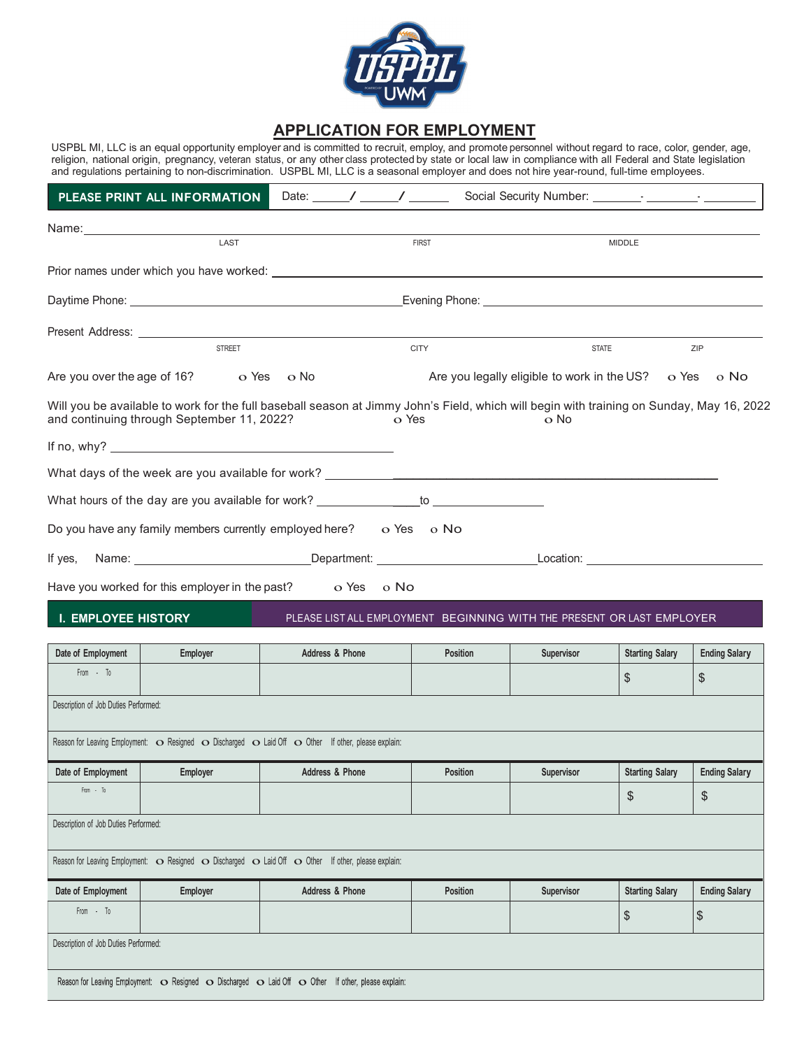

## **APPLICATION FOR EMPLOYMENT**

USPBL MI, LLC is an equal opportunity employer and is committed to recruit, employ, and promote personnel without regard to race, color, gender, age, religion, national origin, pregnancy, veteran status, or any other class protected by state or local law in compliance with all Federal and State legislation and regulations pertaining to non-discrimination. USPBL MI, LLC is a seasonal employer and does not hire year-round, full-time employees.

|                                      | PLEASE PRINT ALL INFORMATION                                                                                                                                                                                                     |                            |              |                 |                                                                        |                        |                      |
|--------------------------------------|----------------------------------------------------------------------------------------------------------------------------------------------------------------------------------------------------------------------------------|----------------------------|--------------|-----------------|------------------------------------------------------------------------|------------------------|----------------------|
|                                      | Name: Name: Name: Name: Name: Name: Name: Name: Name: Name: Name: Name: Name: Name: Name: Name: Name: Name: Name: Name: Name: Name: Name: Name: Name: Name: Name: Name: Name: Name: Name: Name: Name: Name: Name: Name: Name:    |                            |              |                 |                                                                        |                        |                      |
|                                      | LAST                                                                                                                                                                                                                             |                            | <b>FIRST</b> |                 |                                                                        | <b>MIDDLE</b>          |                      |
|                                      | Prior names under which you have worked: We have the control of the control of the control of the control of the control of the control of the control of the control of the control of the control of the control of the cont   |                            |              |                 |                                                                        |                        |                      |
|                                      |                                                                                                                                                                                                                                  |                            |              |                 |                                                                        |                        |                      |
|                                      |                                                                                                                                                                                                                                  |                            |              |                 |                                                                        |                        |                      |
|                                      | <b>STREET</b>                                                                                                                                                                                                                    |                            | <b>CITY</b>  |                 | <b>STATE</b>                                                           |                        | <b>ZIP</b>           |
|                                      | Are you over the age of $16$ ? $\qquad$ o Yes o No                                                                                                                                                                               |                            |              |                 | Are you legally eligible to work in the US? $\circ$ Yes $\circ$ No     |                        |                      |
|                                      | Will you be available to work for the full baseball season at Jimmy John's Field, which will begin with training on Sunday, May 16, 2022<br>and continuing through September 11, 2022?                                           |                            | o Yes        |                 | o No                                                                   |                        |                      |
|                                      |                                                                                                                                                                                                                                  |                            |              |                 |                                                                        |                        |                      |
|                                      | What days of the week are you available for work? $\sqrt{2}$ . The contract of the control of the control of the control of the control of the control of the control of the control of the control of the control of the contro |                            |              |                 |                                                                        |                        |                      |
|                                      | What hours of the day are you available for work? ________________to ___________                                                                                                                                                 |                            |              |                 |                                                                        |                        |                      |
|                                      | Do you have any family members currently employed here? $\Box$ $\Diamond$ Yes $\Box$ o No                                                                                                                                        |                            |              |                 |                                                                        |                        |                      |
| If yes,                              | Name: Location: Location: Department: Letter and Location: Location: Location:                                                                                                                                                   |                            |              |                 |                                                                        |                        |                      |
|                                      | Have you worked for this employer in the past? $\overline{\text{O}}$ Yes $\overline{\text{O}}$ No                                                                                                                                |                            |              |                 |                                                                        |                        |                      |
| <b>I. EMPLOYEE HISTORY</b>           |                                                                                                                                                                                                                                  |                            |              |                 | PLEASE LIST ALL EMPLOYMENT BEGINNING WITH THE PRESENT OR LAST EMPLOYER |                        |                      |
| Date of Employment                   | Employer                                                                                                                                                                                                                         | <b>Address &amp; Phone</b> |              | <b>Position</b> | Supervisor                                                             | <b>Starting Salary</b> | <b>Ending Salary</b> |
| From - To                            |                                                                                                                                                                                                                                  |                            |              |                 |                                                                        | $\$\$                  | \$                   |
| Description of Job Duties Performed: |                                                                                                                                                                                                                                  |                            |              |                 |                                                                        |                        |                      |

Reason for Leaving Employment:  $\bullet$  Resigned  $\bullet$  Discharged  $\bullet$  Laid Off  $\bullet$  Other If other, please explain:

| Date of Employment                   | <b>Employer</b> | Address & Phone | Position | Supervisor | <b>Starting Salary</b> | <b>Ending Salary</b> |
|--------------------------------------|-----------------|-----------------|----------|------------|------------------------|----------------------|
| From - To                            |                 |                 |          |            | - D                    | $\sigma$<br>จ        |
| Description of Job Duties Performed: |                 |                 |          |            |                        |                      |

Reason for Leaving Employment:  $\bullet$  Resigned  $\bullet$  Discharged  $\bullet$  Laid Off  $\bullet$  Other If other, please explain:

| Date of Employment                   | Employer | Address & Phone | <b>Position</b> | <b>Supervisor</b> | <b>Starting Salary</b> | <b>Ending Salary</b> |
|--------------------------------------|----------|-----------------|-----------------|-------------------|------------------------|----------------------|
| From - To                            |          |                 |                 |                   | u                      | Ψ                    |
| Description of Job Duties Performed: |          |                 |                 |                   |                        |                      |

Reason for Leaving Employment: O Resigned O Discharged O Laid Off O Other If other, please explain: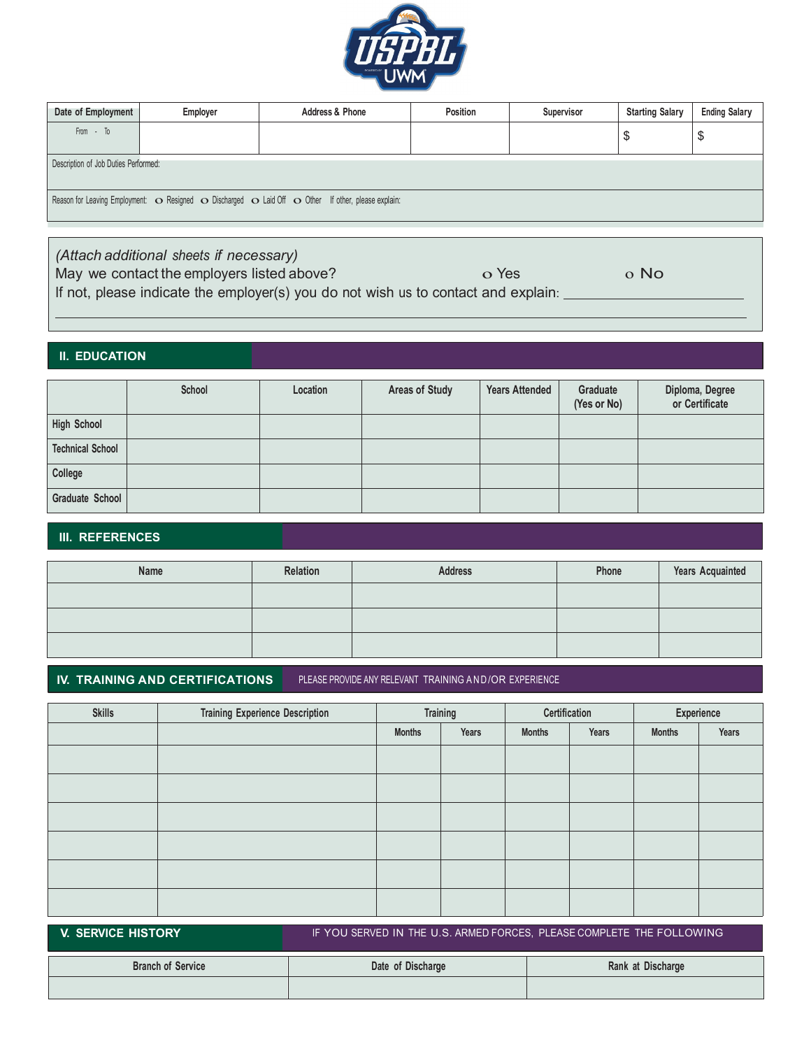

| Date of Employment                   | Employer | <b>Address &amp; Phone</b>                                                                          | Position | Supervisor | <b>Starting Salary</b> | <b>Ending Salary</b> |
|--------------------------------------|----------|-----------------------------------------------------------------------------------------------------|----------|------------|------------------------|----------------------|
| From - To                            |          |                                                                                                     |          |            | \$                     | \$                   |
| Description of Job Duties Performed: |          |                                                                                                     |          |            |                        |                      |
|                                      |          | Reason for Leaving Employment: O Resigned O Discharged O Laid Off O Other If other, please explain: |          |            |                        |                      |

*(Attach additional sheets if necessary)* May we contact the employers listed above?  $\overline{O}$  O Yes  $\overline{O}$  O No If not, please indicate the employer(s) you do not wish us to contact and explain:

#### **II. EDUCATION**

|                         | School | Location | <b>Areas of Study</b> | <b>Years Attended</b> | Graduate<br>(Yes or No) | Diploma, Degree<br>or Certificate |
|-------------------------|--------|----------|-----------------------|-----------------------|-------------------------|-----------------------------------|
| <b>High School</b>      |        |          |                       |                       |                         |                                   |
| <b>Technical School</b> |        |          |                       |                       |                         |                                   |
| College                 |        |          |                       |                       |                         |                                   |
| Graduate School         |        |          |                       |                       |                         |                                   |

#### **III. REFERENCES**

| Name | Relation | <b>Address</b> | Phone | <b>Years Acquainted</b> |
|------|----------|----------------|-------|-------------------------|
|      |          |                |       |                         |
|      |          |                |       |                         |
|      |          |                |       |                         |

### **IV. TRAINING AND CERTIFICATIONS** PLEASE PROVIDE ANY RELEVANT TRAINING AND /OR EXPERIENCE

| <b>Skills</b>                                                                               | <b>Training Experience Description</b> | Training      |       | Certification |       | Experience    |       |
|---------------------------------------------------------------------------------------------|----------------------------------------|---------------|-------|---------------|-------|---------------|-------|
|                                                                                             |                                        | <b>Months</b> | Years | <b>Months</b> | Years | <b>Months</b> | Years |
|                                                                                             |                                        |               |       |               |       |               |       |
|                                                                                             |                                        |               |       |               |       |               |       |
|                                                                                             |                                        |               |       |               |       |               |       |
|                                                                                             |                                        |               |       |               |       |               |       |
|                                                                                             |                                        |               |       |               |       |               |       |
|                                                                                             |                                        |               |       |               |       |               |       |
| V. SERVICE HISTORY<br>IF YOU SERVED IN THE U.S. ARMED FORCES, PLEASE COMPLETE THE FOLLOWING |                                        |               |       |               |       |               |       |

**Branch of Service Date of Discharge Date of Discharge Rank** at Discharge